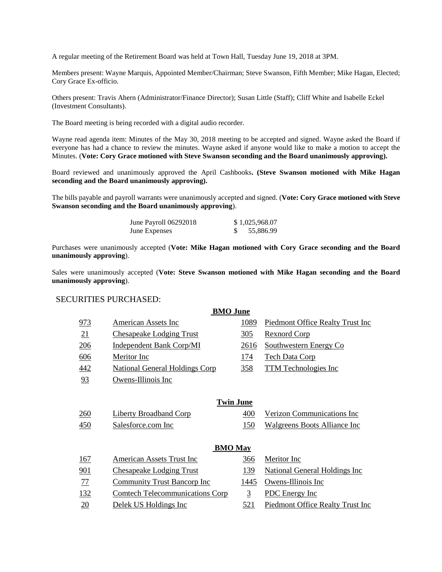A regular meeting of the Retirement Board was held at Town Hall, Tuesday June 19, 2018 at 3PM.

Members present: Wayne Marquis, Appointed Member/Chairman; Steve Swanson, Fifth Member; Mike Hagan, Elected; Cory Grace Ex-officio.

Others present: Travis Ahern (Administrator/Finance Director); Susan Little (Staff); Cliff White and Isabelle Eckel (Investment Consultants).

The Board meeting is being recorded with a digital audio recorder.

Wayne read agenda item: Minutes of the May 30, 2018 meeting to be accepted and signed. Wayne asked the Board if everyone has had a chance to review the minutes. Wayne asked if anyone would like to make a motion to accept the Minutes. (**Vote: Cory Grace motioned with Steve Swanson seconding and the Board unanimously approving).**

Board reviewed and unanimously approved the April Cashbooks**. (Steve Swanson motioned with Mike Hagan seconding and the Board unanimously approving).** 

The bills payable and payroll warrants were unanimously accepted and signed. (**Vote: Cory Grace motioned with Steve Swanson seconding and the Board unanimously approving**).

| June Payroll 06292018 | \$1,025,968.07 |
|-----------------------|----------------|
| <b>June Expenses</b>  | 55,886.99      |

Purchases were unanimously accepted (**Vote: Mike Hagan motioned with Cory Grace seconding and the Board unanimously approving**).

Sales were unanimously accepted (**Vote: Steve Swanson motioned with Mike Hagan seconding and the Board unanimously approving**).

#### SECURITIES PURCHASED:

|                 | <b>BMO</b> June                        |                |                                      |
|-----------------|----------------------------------------|----------------|--------------------------------------|
| 973             | American Assets Inc                    | 1089           | Piedmont Office Realty Trust Inc     |
| 21              | <b>Chesapeake Lodging Trust</b>        | 305            | <b>Rexnord Corp</b>                  |
| 206             | <b>Independent Bank Corp/MI</b>        | 2616           | Southwestern Energy Co               |
| 606             | Meritor Inc                            | <u>174</u>     | <b>Tech Data Corp</b>                |
| 442             | <b>National General Holdings Corp</b>  | 358            | <b>TTM</b> Technologies Inc          |
| 93              | Owens-Illinois Inc                     |                |                                      |
|                 |                                        |                |                                      |
|                 | <b>Twin June</b>                       |                |                                      |
| 260             | <b>Liberty Broadband Corp</b>          | 400            | Verizon Communications Inc           |
| 450             | Salesforce.com Inc                     | 150            | Walgreens Boots Alliance Inc         |
|                 |                                        |                |                                      |
|                 | <b>BMO</b> May                         |                |                                      |
| 167             | American Assets Trust Inc              | 366            | Meritor Inc                          |
| 901             | <b>Chesapeake Lodging Trust</b>        | 139            | <b>National General Holdings Inc</b> |
| 77              | <b>Community Trust Bancorp Inc</b>     | 1445           | Owens-Illinois Inc                   |
| 132             | <b>Comtech Telecommunications Corp</b> | $\overline{3}$ | <b>PDC</b> Energy Inc                |
| $\overline{20}$ | Delek US Holdings Inc                  | 521            | Piedmont Office Realty Trust Inc     |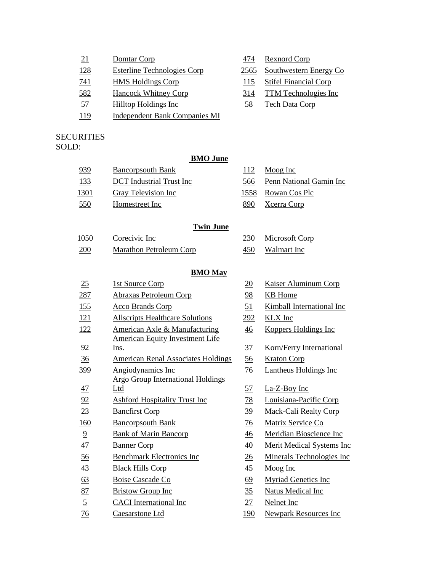| 21         | Domtar Corp                          | 474  | <b>Rexnord Corp</b>           |
|------------|--------------------------------------|------|-------------------------------|
| <u>128</u> | <b>Esterline Technologies Corp</b>   | 2565 | <b>Southwestern Energy Co</b> |
| 741        | <b>HMS</b> Holdings Corp             | 115  | <b>Stifel Financial Corp</b>  |
| 582        | <b>Hancock Whitney Corp</b>          | 314  | <b>TTM Technologies Inc</b>   |
| 57         | <b>Hilltop Holdings Inc</b>          | 58   | <b>Tech Data Corp</b>         |
| 119        | <b>Independent Bank Companies MI</b> |      |                               |

# SECURITIES

# SOLD:

## **BMO June**

| 939        | <b>Bancorpsouth Bank</b> | 112  | Moog Inc                    |
|------------|--------------------------|------|-----------------------------|
| <u>133</u> | DCT Industrial Trust Inc |      | 566 Penn National Gamin Inc |
| 1301       | Gray Television Inc      |      | 1558 Rowan Cos Plc          |
| <u>550</u> | Homestreet Inc           | 890. | Xcerra Corp                 |

### **Twin June**

| 1050 | Corecivic Inc           | 230 | Microsoft Corp |
|------|-------------------------|-----|----------------|
| 200  | Marathon Petroleum Corp | 450 | Walmart Inc    |

#### **BMO May**

| 25             | 1st Source Corp                                 | 20              | Kaiser Aluminum Corp             |
|----------------|-------------------------------------------------|-----------------|----------------------------------|
| 287            | <b>Abraxas Petroleum Corp</b>                   | 98              | <b>KB</b> Home                   |
| 155            | <b>Acco Brands Corp</b>                         | 51              | Kimball International Inc        |
| <u>121</u>     | <b>Allscripts Healthcare Solutions</b>          | 292             | <b>KLX</b> Inc                   |
| 122            | American Axle & Manufacturing                   | $\frac{46}{5}$  | <b>Koppers Holdings Inc</b>      |
| 92             | <b>American Equity Investment Life</b><br>Ins.  | 37              | <b>Korn/Ferry International</b>  |
| 36             | <b>American Renal Associates Holdings</b>       | <u>56</u>       | <b>Kraton Corp</b>               |
| <u>399</u>     | Angiodynamics Inc                               | $\frac{76}{9}$  | <b>Lantheus Holdings Inc</b>     |
| 47             | <b>Argo Group International Holdings</b><br>Ltd | <u>57</u>       | La-Z-Boy Inc                     |
| 92             | <b>Ashford Hospitality Trust Inc</b>            | <u>78</u>       | Louisiana-Pacific Corp           |
| 23             | <b>Bancfirst Corp</b>                           | $\frac{39}{2}$  | <b>Mack-Cali Realty Corp</b>     |
| 160            | <b>Bancorpsouth Bank</b>                        | $\frac{76}{9}$  | Matrix Service Co                |
| $\overline{9}$ | <b>Bank of Marin Bancorp</b>                    | $\frac{46}{5}$  | Meridian Bioscience Inc          |
| 47             | <b>Banner Corp</b>                              | $\overline{40}$ | <b>Merit Medical Systems Inc</b> |
| $\frac{56}{5}$ | <b>Benchmark Electronics Inc</b>                | $\overline{26}$ | Minerals Technologies Inc        |
| 43             | <b>Black Hills Corp</b>                         | $\overline{45}$ | Moog Inc                         |
| 63             | <b>Boise Cascade Co</b>                         | <u>69</u>       | <b>Myriad Genetics Inc</b>       |
| 87             | <b>Bristow Group Inc</b>                        | 35              | <b>Natus Medical Inc</b>         |
| $\overline{5}$ | <b>CACI</b> International Inc                   | 27              | Nelnet Inc                       |
| $\frac{76}{1}$ | Caesarstone Ltd                                 | 190             | <b>Newpark Resources Inc</b>     |
|                |                                                 |                 |                                  |

| 20              | <b>Kaiser Aluminum Corp</b>      |
|-----------------|----------------------------------|
| <u>98</u>       | <b>KB</b> Home                   |
| <u>51</u>       | <b>Kimball International Inc</b> |
| <u>292</u>      | <b>KLX</b> Inc                   |
| <u>46</u>       | <b>Koppers Holdings Inc</b>      |
| <u>37</u>       | <b>Korn/Ferry International</b>  |
| $\frac{56}{5}$  | <b>Kraton Corp</b>               |
| <u>76</u>       | <b>Lantheus Holdings Inc</b>     |
| 57              | La-Z-Boy Inc                     |
| <u>78</u>       | Louisiana-Pacific Corp           |
| <u>39</u>       | <b>Mack-Cali Realty Corp</b>     |
| 76              | <b>Matrix Service Co</b>         |
| 46              | Meridian Bioscience Inc          |
| 40              | <b>Merit Medical Systems Inc</b> |
| $\frac{26}{5}$  | <b>Minerals Technologies Inc</b> |
| <u>45</u>       | Moog Inc                         |
| 69              | <b>Myriad Genetics Inc</b>       |
| $\overline{35}$ | <b>Natus Medical Inc</b>         |
| <u>27</u>       | <b>Nelnet Inc</b>                |
| <u>190</u>      | <b>Newpark Resources Inc</b>     |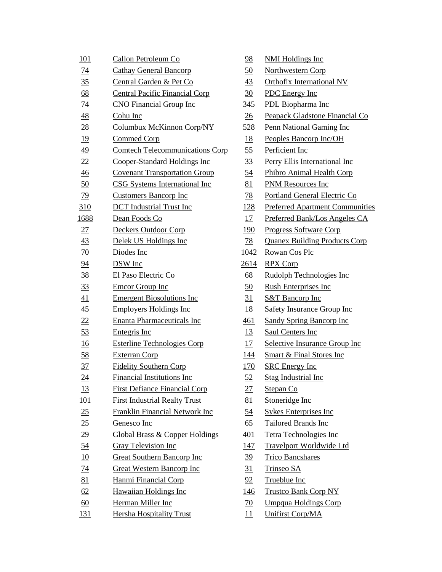| 101              | Callon Petroleum Co                       | 98              | <b>NMI Holdings Inc</b>                |
|------------------|-------------------------------------------|-----------------|----------------------------------------|
| $\overline{14}$  | <b>Cathay General Bancorp</b>             | <u>50</u>       | Northwestern Corp                      |
| 35               | Central Garden & Pet Co                   | 43              | <b>Orthofix International NV</b>       |
| 68               | <b>Central Pacific Financial Corp</b>     | 30              | PDC Energy Inc                         |
| 74               | <b>CNO</b> Financial Group Inc            | 345             | PDL Biopharma Inc                      |
| <u>48</u>        | Cohu Inc                                  | 26              | Peapack Gladstone Financial Co         |
| 28               | Columbux McKinnon Corp/NY                 | 528             | Penn National Gaming Inc               |
| <u>19</u>        | Commed Corp                               | <u>18</u>       | Peoples Bancorp Inc/OH                 |
| 49               | <b>Comtech Telecommunications Corp</b>    | 55              | Perficient Inc                         |
| 22               | Cooper-Standard Holdings Inc              | 33              | Perry Ellis International Inc          |
| $\frac{46}{5}$   | <b>Covenant Transportation Group</b>      | 54              | Phibro Animal Health Corp              |
| 50               | <b>CSG Systems International Inc</b>      | 81              | <b>PNM Resources Inc</b>               |
| <u>79</u>        | <b>Customers Bancorp Inc</b>              | 78              | Portland General Electric Co           |
| 310              | <b>DCT</b> Industrial Trust Inc           | <u>128</u>      | <b>Preferred Apartment Communities</b> |
| 1688             | Dean Foods Co                             | 17              | Preferred Bank/Los Angeles CA          |
| 27               | Deckers Outdoor Corp                      | 190             | <b>Progress Software Corp</b>          |
| 43               | Delek US Holdings Inc                     | 78              | <b>Quanex Building Products Corp</b>   |
| 70               | Diodes Inc                                | 1042            | Rowan Cos Plc                          |
| 94               | <b>DSW</b> Inc                            | 2614            | <b>RPX Corp</b>                        |
| 38               | El Paso Electric Co                       | 68              | Rudolph Technologies Inc               |
| 33               | <b>Emcor Group Inc</b>                    | 50              | <b>Rush Enterprises Inc</b>            |
| 41               | <b>Emergent Biosolutions Inc</b>          | 31              | <b>S&amp;T Bancorp Inc</b>             |
| $\frac{45}{5}$   | <b>Employers Holdings Inc</b>             | <u>18</u>       | <b>Safety Insurance Group Inc</b>      |
| 22               | <b>Enanta Pharmaceuticals Inc</b>         | 461             | <b>Sandy Spring Bancorp Inc</b>        |
| 53               | Entegris Inc                              | <u>13</u>       | Saul Centers Inc                       |
| 16               | <b>Esterline Technologies Corp</b>        | 17              | Selective Insurance Group Inc          |
| 58               | <b>Exterran Corp</b>                      | <u> 144</u>     | <b>Smart &amp; Final Stores Inc</b>    |
| 37               | <b>Fidelity Southern Corp</b>             | 170             | <b>SRC</b> Energy Inc                  |
| $\underline{24}$ | <b>Financial Institutions Inc</b>         | 52              | <b>Stag Industrial Inc</b>             |
| <u> 13</u>       | <b>First Defiance Financial Corp</b>      | <u> 27 </u>     | Stepan Co                              |
| 101              | <b>First Industrial Realty Trust</b>      | 81              | Stoneridge Inc                         |
| 25               | <b>Franklin Financial Network Inc</b>     | <u>54</u>       | Sykes Enterprises Inc                  |
| 25               | Genesco Inc                               | 65              | Tailored Brands Inc                    |
| $\underline{29}$ | <b>Global Brass &amp; Copper Holdings</b> | <u>401</u>      | Tetra Technologies Inc                 |
| <u>54</u>        | <b>Gray Television Inc</b>                | <u> 147</u>     | <b>Travelport Worldwide Ltd</b>        |
| 10               | <b>Great Southern Bancorp Inc</b>         | <u>39</u>       | <b>Trico Bancshares</b>                |
| $\frac{74}{1}$   | <b>Great Western Bancorp Inc</b>          | 31              | Trinseo SA                             |
| 81               | Hanmi Financial Corp                      | 92              | <b>Trueblue Inc</b>                    |
| 62               | <b>Hawaiian Holdings Inc</b>              | <u> 146</u>     | <b>Trustco Bank Corp NY</b>            |
| $\underline{60}$ | Herman Miller Inc                         | $\overline{20}$ | <b>Umpqua Holdings Corp</b>            |
| 131              | <b>Hersha Hospitality Trust</b>           | 11              | <b>Unifirst Corp/MA</b>                |

| <u>98</u>        | <b>NMI Holdings Inc</b>                |
|------------------|----------------------------------------|
| $\underline{50}$ | <b>Northwestern Corp</b>               |
| 43               | <b>Orthofix International NV</b>       |
| $\overline{30}$  | <b>PDC</b> Energy Inc                  |
| <u>345</u>       | <b>PDL</b> Biopharma Inc               |
| $\frac{26}{5}$   | <b>Peapack Gladstone Financial Co</b>  |
| <u>528</u>       | <b>Penn National Gaming Inc</b>        |
| <u>18</u>        | Peoples Bancorp Inc/OH                 |
| 55               | Perficient Inc                         |
| <u>33</u>        | <b>Perry Ellis International Inc.</b>  |
| <u>54</u>        | <b>Phibro Animal Health Corp</b>       |
| 81               | <b>PNM Resources Inc</b>               |
| <u>78</u>        | <b>Portland General Electric Co</b>    |
| <u> 128</u>      | <b>Preferred Apartment Communities</b> |
| 17               | Preferred Bank/Los Angeles CA          |
| <u> 190</u>      | <b>Progress Software Corp</b>          |
| <u>78</u>        | <b>Quanex Building Products Corp</b>   |
| 1042             | <b>Rowan Cos Plc</b>                   |
| <u> 2614</u>     | <b>RPX Corp</b>                        |
| $\underline{68}$ | Rudolph Technologies Inc               |
| 50               | <b>Rush Enterprises Inc</b>            |
| 31               | <b>S&amp;T Bancorp Inc</b>             |
| <u>18</u>        | <b>Safety Insurance Group Inc</b>      |
| <u>461</u>       | <b>Sandy Spring Bancorp Inc</b>        |
| <u>13</u>        | <b>Saul Centers Inc</b>                |
| <u>17</u>        | <b>Selective Insurance Group Inc</b>   |
| <u> 144</u>      | <b>Smart &amp; Final Stores Inc.</b>   |
| <u>170</u>       | <b>SRC</b> Energy Inc                  |
| $\frac{52}{5}$   | Stag Industrial Inc                    |
| <u> 27</u>       | <u>Stepan Co</u>                       |
| 81               | Stoneridge Inc                         |
| <u>54</u>        | <b>Sykes Enterprises Inc.</b>          |
| 65               | <b>Tailored Brands Inc</b>             |
| <u>401</u>       | <b>Tetra Technologies Inc</b>          |
| <u> 147</u>      | <u>Travelport Worldwide Ltd</u>        |
| <u>39</u>        | <b>Trico Bancshares</b>                |
| <u>31</u>        | <u>Trinseo SA</u>                      |
| <u>92</u>        | <b>Trueblue Inc</b>                    |
| <u> 146</u>      | <b>Trustco Bank Corp NY</b>            |
| <u>70</u>        | <u>Umpqua Holdings Corp</u>            |
| <u> 11</u>       | <b>Unifirst Corp/MA</b>                |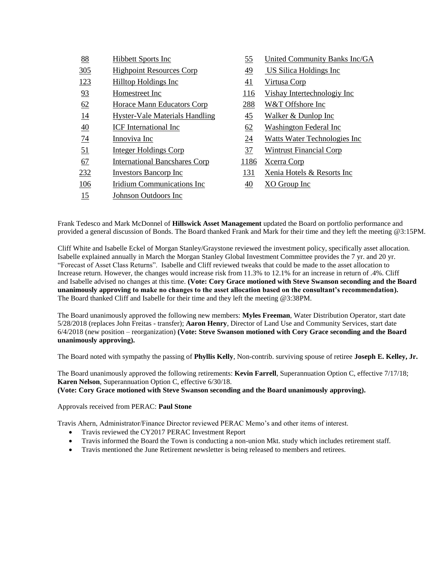| 88              | <b>Hibbett Sports Inc</b>             | <u>55</u> | United Community Banks Inc/GA        |
|-----------------|---------------------------------------|-----------|--------------------------------------|
| <u>305</u>      | <b>Highpoint Resources Corp</b>       | <u>49</u> | <b>US Silica Holdings Inc</b>        |
| 123             | Hilltop Holdings Inc                  | 41        | Virtusa Corp                         |
| 93              | Homestreet Inc                        | 116       | Vishay Intertechnologiy Inc          |
| 62              | <b>Horace Mann Educators Corp</b>     | 288       | W&T Offshore Inc                     |
| <u>14</u>       | <b>Hyster-Vale Materials Handling</b> | <u>45</u> | Walker & Dunlop Inc                  |
| $\overline{40}$ | <b>ICF</b> International Inc          | 62        | Washington Federal Inc               |
| <u>74</u>       | Innoviva Inc                          | <u>24</u> | <b>Watts Water Technologies Inc.</b> |
| 51              | <b>Integer Holdings Corp</b>          | 37        | <b>Wintrust Financial Corp</b>       |
| 67              | <b>International Bancshares Corp</b>  | 1186      | Xcerra Corp                          |
| 232             | Investors Bancorp Inc                 | 131       | Xenia Hotels & Resorts Inc           |
| 106             | Iridium Communications Inc            | <u>40</u> | XO Group Inc                         |
| 15              | Johnson Outdoors Inc                  |           |                                      |

Frank Tedesco and Mark McDonnel of **Hillswick Asset Management** updated the Board on portfolio performance and provided a general discussion of Bonds. The Board thanked Frank and Mark for their time and they left the meeting @3:15PM.

Cliff White and Isabelle Eckel of Morgan Stanley/Graystone reviewed the investment policy, specifically asset allocation. Isabelle explained annually in March the Morgan Stanley Global Investment Committee provides the 7 yr. and 20 yr. "Forecast of Asset Class Returns". Isabelle and Cliff reviewed tweaks that could be made to the asset allocation to Increase return. However, the changes would increase risk from 11.3% to 12.1% for an increase in return of .4%. Cliff and Isabelle advised no changes at this time. **(Vote: Cory Grace motioned with Steve Swanson seconding and the Board unanimously approving to make no changes to the asset allocation based on the consultant's recommendation).** The Board thanked Cliff and Isabelle for their time and they left the meeting @3:38PM.

The Board unanimously approved the following new members: **Myles Freeman**, Water Distribution Operator, start date 5/28/2018 (replaces John Freitas - transfer); **Aaron Henry**, Director of Land Use and Community Services, start date 6/4/2018 (new position – reorganization) **(Vote: Steve Swanson motioned with Cory Grace seconding and the Board unanimously approving).**

The Board noted with sympathy the passing of **Phyllis Kelly**, Non-contrib. surviving spouse of retiree **Joseph E. Kelley, Jr.**

The Board unanimously approved the following retirements: **Kevin Farrell**, Superannuation Option C, effective 7/17/18; **Karen Nelson**, Superannuation Option C, effective 6/30/18.

**(Vote: Cory Grace motioned with Steve Swanson seconding and the Board unanimously approving).**

Approvals received from PERAC: **Paul Stone**

Travis Ahern, Administrator/Finance Director reviewed PERAC Memo's and other items of interest.

- Travis reviewed the CY2017 PERAC Investment Report
- Travis informed the Board the Town is conducting a non-union Mkt. study which includes retirement staff.
- Travis mentioned the June Retirement newsletter is being released to members and retirees.